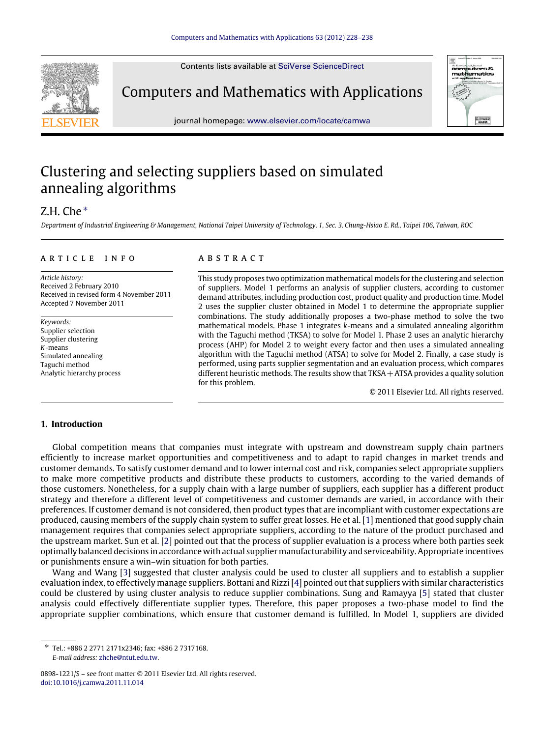Contents lists available at [SciVerse ScienceDirect](http://www.elsevier.com/locate/camwa)



journal homepage: [www.elsevier.com/locate/camwa](http://www.elsevier.com/locate/camwa)

## Clustering and selecting suppliers based on simulated annealing algorithms

### Z.H. Che [∗](#page-0-0)

*Department of Industrial Engineering & Management, National Taipei University of Technology, 1, Sec. 3, Chung-Hsiao E. Rd., Taipei 106, Taiwan, ROC*

#### a r t i c l e i n f o

*Article history:* Received 2 February 2010 Received in revised form 4 November 2011 Accepted 7 November 2011

*Keywords:* Supplier selection Supplier clustering *K*-means Simulated annealing Taguchi method Analytic hierarchy process

#### a b s t r a c t

This study proposes two optimization mathematical models for the clustering and selection of suppliers. Model 1 performs an analysis of supplier clusters, according to customer demand attributes, including production cost, product quality and production time. Model 2 uses the supplier cluster obtained in Model 1 to determine the appropriate supplier combinations. The study additionally proposes a two-phase method to solve the two mathematical models. Phase 1 integrates *k*-means and a simulated annealing algorithm with the Taguchi method (TKSA) to solve for Model 1. Phase 2 uses an analytic hierarchy process (AHP) for Model 2 to weight every factor and then uses a simulated annealing algorithm with the Taguchi method (ATSA) to solve for Model 2. Finally, a case study is performed, using parts supplier segmentation and an evaluation process, which compares different heuristic methods. The results show that TKSA + ATSA provides a quality solution for this problem.

© 2011 Elsevier Ltd. All rights reserved.

#### **1. Introduction**

Global competition means that companies must integrate with upstream and downstream supply chain partners efficiently to increase market opportunities and competitiveness and to adapt to rapid changes in market trends and customer demands. To satisfy customer demand and to lower internal cost and risk, companies select appropriate suppliers to make more competitive products and distribute these products to customers, according to the varied demands of those customers. Nonetheless, for a supply chain with a large number of suppliers, each supplier has a different product strategy and therefore a different level of competitiveness and customer demands are varied, in accordance with their preferences. If customer demand is not considered, then product types that are incompliant with customer expectations are produced, causing members of the supply chain system to suffer great losses. He et al. [\[1\]](#page--1-0) mentioned that good supply chain management requires that companies select appropriate suppliers, according to the nature of the product purchased and the upstream market. Sun et al. [\[2\]](#page--1-1) pointed out that the process of supplier evaluation is a process where both parties seek optimally balanced decisions in accordance with actual supplier manufacturability and serviceability. Appropriate incentives or punishments ensure a win–win situation for both parties.

Wang and Wang [\[3\]](#page--1-2) suggested that cluster analysis could be used to cluster all suppliers and to establish a supplier evaluation index, to effectively manage suppliers. Bottani and Rizzi [\[4\]](#page--1-3) pointed out that suppliers with similar characteristics could be clustered by using cluster analysis to reduce supplier combinations. Sung and Ramayya [\[5\]](#page--1-4) stated that cluster analysis could effectively differentiate supplier types. Therefore, this paper proposes a two-phase model to find the appropriate supplier combinations, which ensure that customer demand is fulfilled. In Model 1, suppliers are divided

<span id="page-0-0"></span>∗ Tel.: +886 2 2771 2171x2346; fax: +886 2 7317168. *E-mail address:* [zhche@ntut.edu.tw.](mailto:zhche@ntut.edu.tw)

<sup>0898-1221/\$ –</sup> see front matter © 2011 Elsevier Ltd. All rights reserved. [doi:10.1016/j.camwa.2011.11.014](http://dx.doi.org/10.1016/j.camwa.2011.11.014)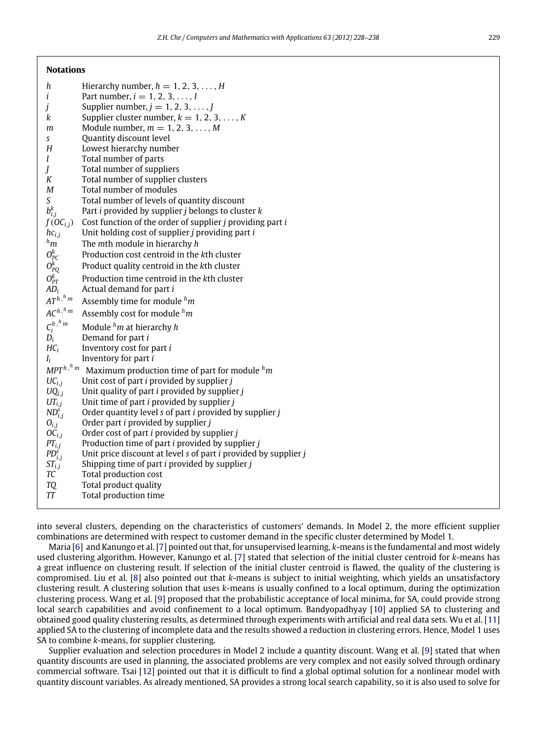**Notations**

| h                        | Hierarchy number, $h = 1, 2, 3, \ldots, H$                                    |
|--------------------------|-------------------------------------------------------------------------------|
| i                        | Part number, $i = 1, 2, 3, , I$                                               |
| j                        | Supplier number, $j = 1, 2, 3, \ldots, J$                                     |
| k                        | Supplier cluster number, $k = 1, 2, 3, , K$                                   |
| m                        | Module number, $m = 1, 2, 3, \ldots, M$                                       |
| S                        | Quantity discount level                                                       |
| H                        | Lowest hierarchy number                                                       |
| I                        | Total number of parts                                                         |
| J                        | Total number of suppliers                                                     |
| K                        | Total number of supplier clusters                                             |
| M                        | Total number of modules                                                       |
| S                        | Total number of levels of quantity discount                                   |
| $b_{i,j}^k$              | Part $i$ provided by supplier $j$ belongs to cluster $k$                      |
| $f(\overline{OC}_{i,j})$ | Cost function of the order of supplier <i>j</i> providing part <i>i</i>       |
| $hc_{i,j}$               | Unit holding cost of supplier j providing part i                              |
| $h_m$                    | The mth module in hierarchy h                                                 |
| $O_{PC}^k$               | Production cost centroid in the kth cluster                                   |
| $O_{PQ}^k$<br>$O_{PT}^k$ | Product quality centroid in the kth cluster                                   |
|                          | Production time centroid in the kth cluster                                   |
| $AD_i$                   | Actual demand for part i                                                      |
| $AT^{h,h,m}$             | Assembly time for module $^h$ m                                               |
| $AC^{h, h}$ m            | Assembly cost for module $h_m$                                                |
| $C_i^{h,h,m}$            | Module $hm$ at hierarchy h                                                    |
| $D_i$                    | Demand for part i                                                             |
| $HC_i$                   | Inventory cost for part i                                                     |
| $I_i$                    | Inventory for part i                                                          |
| $MPT^{h\,,\,h\,m}$       | Maximum production time of part for module ${}^h m$                           |
| $UC_{i,j}$               | Unit cost of part <i>i</i> provided by supplier <i>j</i>                      |
| $UQ_{i,i}$               | Unit quality of part $i$ provided by supplier $j$                             |
| $UT_{i,j}$               | Unit time of part <i>i</i> provided by supplier <i>j</i>                      |
| $ND_{i,j}^s$             | Order quantity level s of part <i>i</i> provided by supplier <i>j</i>         |
| $O_{i,j}$                | Order part <i>i</i> provided by supplier <i>j</i>                             |
| $OC_{i,i}$               | Order cost of part <i>i</i> provided by supplier <i>j</i>                     |
| $PT_{i,j}$               | Production time of part <i>i</i> provided by supplier <i>j</i>                |
| $PD_{i,j}^{\bar{s}}$     | Unit price discount at level s of part <i>i</i> provided by supplier <i>j</i> |
| $ST_{i,j}$               | Shipping time of part <i>i</i> provided by supplier <i>j</i>                  |
| TC                       | Total production cost                                                         |
| <b>TQ</b>                | Total product quality                                                         |
| TT                       | Total production time                                                         |
|                          |                                                                               |

into several clusters, depending on the characteristics of customers' demands. In Model 2, the more efficient supplier combinations are determined with respect to customer demand in the specific cluster determined by Model 1.

Maria [\[6\]](#page--1-5) and Kanungo et al. [\[7\]](#page--1-6) pointed out that, for unsupervised learning, *k*-means is the fundamental and most widely used clustering algorithm. However, Kanungo et al. [\[7\]](#page--1-6) stated that selection of the initial cluster centroid for *k*-means has a great influence on clustering result. If selection of the initial cluster centroid is flawed, the quality of the clustering is compromised. Liu et al. [\[8\]](#page--1-7) also pointed out that *k*-means is subject to initial weighting, which yields an unsatisfactory clustering result. A clustering solution that uses *k*-means is usually confined to a local optimum, during the optimization clustering process. Wang et al. [\[9\]](#page--1-8) proposed that the probabilistic acceptance of local minima, for SA, could provide strong local search capabilities and avoid confinement to a local optimum. Bandyopadhyay [\[10\]](#page--1-9) applied SA to clustering and obtained good quality clustering results, as determined through experiments with artificial and real data sets. Wu et al. [\[11\]](#page--1-10) applied SA to the clustering of incomplete data and the results showed a reduction in clustering errors. Hence, Model 1 uses SA to combine *k*-means, for supplier clustering.

Supplier evaluation and selection procedures in Model 2 include a quantity discount. Wang et al. [\[9\]](#page--1-8) stated that when quantity discounts are used in planning, the associated problems are very complex and not easily solved through ordinary commercial software. Tsai [\[12\]](#page--1-11) pointed out that it is difficult to find a global optimal solution for a nonlinear model with quantity discount variables. As already mentioned, SA provides a strong local search capability, so it is also used to solve for